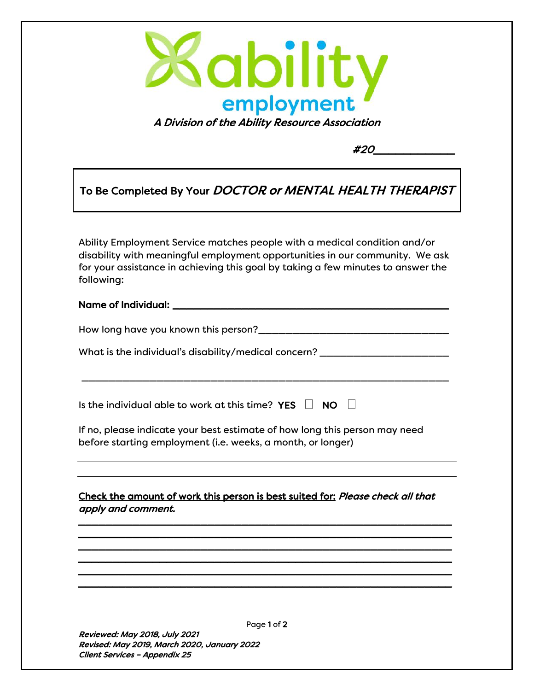

#20\_\_\_\_\_\_\_\_\_\_\_

## To Be Completed By Your **DOCTOR or MENTAL HEALTH THERAPIST**

Ability Employment Service matches people with a medical condition and/or disability with meaningful employment opportunities in our community. We ask for your assistance in achieving this goal by taking a few minutes to answer the following:

## Name of Individual: \_\_\_\_\_\_\_\_\_\_\_\_\_\_\_\_\_\_\_\_\_\_\_\_\_\_\_\_\_\_\_\_\_\_\_\_\_\_\_\_

How long have you known this person?\_\_\_\_\_\_\_\_\_\_\_\_\_\_\_\_\_\_\_\_\_\_\_\_\_\_\_\_

What is the individual's disability/medical concern? \_\_\_\_\_\_\_\_\_\_\_\_\_\_\_\_\_\_\_\_\_\_\_\_\_\_\_

\_\_\_\_\_\_\_\_\_\_\_\_\_\_\_\_\_\_\_\_\_\_\_\_\_\_\_\_\_\_\_\_\_\_\_\_\_\_\_\_\_\_\_\_\_\_\_\_\_\_\_\_\_\_

Is the individual able to work at this time? YES  $\Box$  NO  $\Box$ 

If no, please indicate your best estimate of how long this person may need before starting employment (i.e. weeks, a month, or longer)

## Check the amount of work this person is best suited for: Please check all that apply and comment.

\_\_\_\_\_\_\_\_\_\_\_\_\_\_\_\_\_\_\_\_\_\_\_\_\_\_\_\_\_\_\_\_\_\_\_\_\_\_\_\_\_\_\_\_\_\_\_\_\_\_\_\_\_\_\_ \_\_\_\_\_\_\_\_\_\_\_\_\_\_\_\_\_\_\_\_\_\_\_\_\_\_\_\_\_\_\_\_\_\_\_\_\_\_\_\_\_\_\_\_\_\_\_\_\_\_\_\_\_\_\_ \_\_\_\_\_\_\_\_\_\_\_\_\_\_\_\_\_\_\_\_\_\_\_\_\_\_\_\_\_\_\_\_\_\_\_\_\_\_\_\_\_\_\_\_\_\_\_\_\_\_\_\_\_\_\_ \_\_\_\_\_\_\_\_\_\_\_\_\_\_\_\_\_\_\_\_\_\_\_\_\_\_\_\_\_\_\_\_\_\_\_\_\_\_\_\_\_\_\_\_\_\_\_\_\_\_\_\_\_\_\_ \_\_\_\_\_\_\_\_\_\_\_\_\_\_\_\_\_\_\_\_\_\_\_\_\_\_\_\_\_\_\_\_\_\_\_\_\_\_\_\_\_\_\_\_\_\_\_\_\_\_\_\_\_\_\_ \_\_\_\_\_\_\_\_\_\_\_\_\_\_\_\_\_\_\_\_\_\_\_\_\_\_\_\_\_\_\_\_\_\_\_\_\_\_\_\_\_\_\_\_\_\_\_\_\_\_\_\_\_\_\_

Reviewed: May 2018, July 2021 Revised: May 2019, March 2020, January 2022 Client Services – Appendix 25

Page 1 of 2